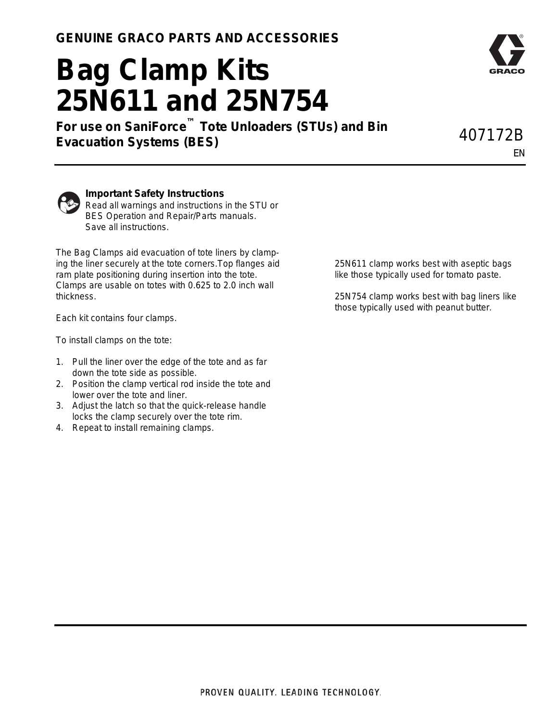## **Bag Clamp Kits 25N611 and 25N754**

**For use on SaniForce™ Tote Unloaders (STUs) and Bin Evacuation Systems (BES)** 407172B

EN



## **Important Safety Instructions**

Read all warnings and instructions in the STU or BES Operation and Repair/Parts manuals. Save all instructions.

The Bag Clamps aid evacuation of tote liners by clamping the liner securely at the tote corners.Top flanges aid ram plate positioning during insertion into the tote. Clamps are usable on totes with 0.625 to 2.0 inch wall thickness.

Each kit contains four clamps.

To install clamps on the tote:

- 1. Pull the liner over the edge of the tote and as far down the tote side as possible.
- 2. Position the clamp vertical rod inside the tote and lower over the tote and liner.
- 3. Adjust the latch so that the quick-release handle locks the clamp securely over the tote rim.
- 4. Repeat to install remaining clamps.

25N611 clamp works best with aseptic bags like those typically used for tomato paste.

25N754 clamp works best with bag liners like those typically used with peanut butter.